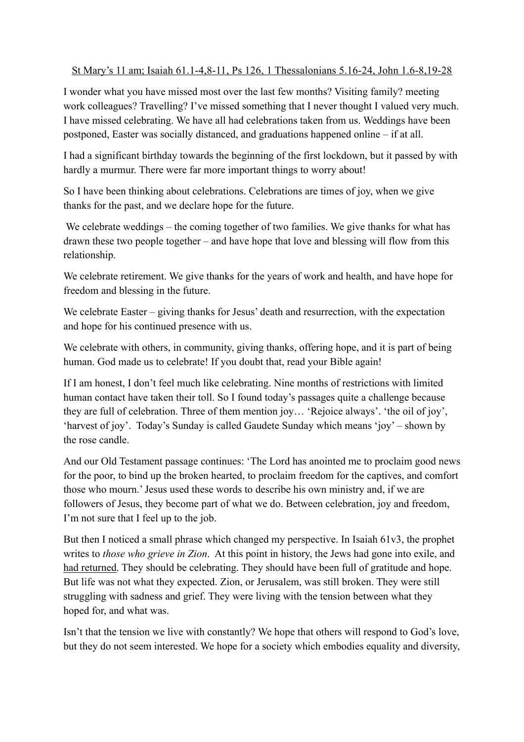## St Mary's 11 am; Isaiah 61.1-4,8-11, Ps 126, 1 Thessalonians 5.16-24, John 1.6-8,19-28

I wonder what you have missed most over the last few months? Visiting family? meeting work colleagues? Travelling? I've missed something that I never thought I valued very much. I have missed celebrating. We have all had celebrations taken from us. Weddings have been postponed, Easter was socially distanced, and graduations happened online – if at all.

I had a significant birthday towards the beginning of the first lockdown, but it passed by with hardly a murmur. There were far more important things to worry about!

So I have been thinking about celebrations. Celebrations are times of joy, when we give thanks for the past, and we declare hope for the future.

We celebrate weddings – the coming together of two families. We give thanks for what has drawn these two people together – and have hope that love and blessing will flow from this relationship.

We celebrate retirement. We give thanks for the years of work and health, and have hope for freedom and blessing in the future.

We celebrate Easter – giving thanks for Jesus' death and resurrection, with the expectation and hope for his continued presence with us.

We celebrate with others, in community, giving thanks, offering hope, and it is part of being human. God made us to celebrate! If you doubt that, read your Bible again!

If I am honest, I don't feel much like celebrating. Nine months of restrictions with limited human contact have taken their toll. So I found today's passages quite a challenge because they are full of celebration. Three of them mention joy… 'Rejoice always'. 'the oil of joy', 'harvest of joy'. Today's Sunday is called Gaudete Sunday which means 'joy' – shown by the rose candle.

And our Old Testament passage continues: 'The Lord has anointed me to proclaim good news for the poor, to bind up the broken hearted, to proclaim freedom for the captives, and comfort those who mourn.' Jesus used these words to describe his own ministry and, if we are followers of Jesus, they become part of what we do. Between celebration, joy and freedom, I'm not sure that I feel up to the job.

But then I noticed a small phrase which changed my perspective. In Isaiah 61v3, the prophet writes to *those who grieve in Zion*. At this point in history, the Jews had gone into exile, and had returned. They should be celebrating. They should have been full of gratitude and hope. But life was not what they expected. Zion, or Jerusalem, was still broken. They were still struggling with sadness and grief. They were living with the tension between what they hoped for, and what was.

Isn't that the tension we live with constantly? We hope that others will respond to God's love, but they do not seem interested. We hope for a society which embodies equality and diversity,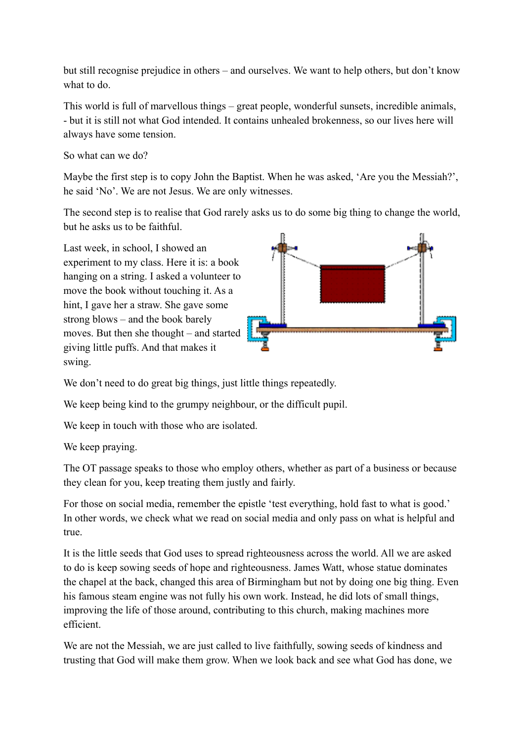but still recognise prejudice in others – and ourselves. We want to help others, but don't know what to do.

This world is full of marvellous things – great people, wonderful sunsets, incredible animals, - but it is still not what God intended. It contains unhealed brokenness, so our lives here will always have some tension.

So what can we do?

Maybe the first step is to copy John the Baptist. When he was asked, 'Are you the Messiah?', he said 'No'. We are not Jesus. We are only witnesses.

The second step is to realise that God rarely asks us to do some big thing to change the world, but he asks us to be faithful.

Last week, in school, I showed an experiment to my class. Here it is: a book hanging on a string. I asked a volunteer to move the book without touching it. As a hint, I gave her a straw. She gave some strong blows – and the book barely moves. But then she thought – and started giving little puffs. And that makes it swing.



We don't need to do great big things, just little things repeatedly.

We keep being kind to the grumpy neighbour, or the difficult pupil.

We keep in touch with those who are isolated.

We keep praying.

The OT passage speaks to those who employ others, whether as part of a business or because they clean for you, keep treating them justly and fairly.

For those on social media, remember the epistle 'test everything, hold fast to what is good.' In other words, we check what we read on social media and only pass on what is helpful and true.

It is the little seeds that God uses to spread righteousness across the world. All we are asked to do is keep sowing seeds of hope and righteousness. James Watt, whose statue dominates the chapel at the back, changed this area of Birmingham but not by doing one big thing. Even his famous steam engine was not fully his own work. Instead, he did lots of small things, improving the life of those around, contributing to this church, making machines more efficient.

We are not the Messiah, we are just called to live faithfully, sowing seeds of kindness and trusting that God will make them grow. When we look back and see what God has done, we